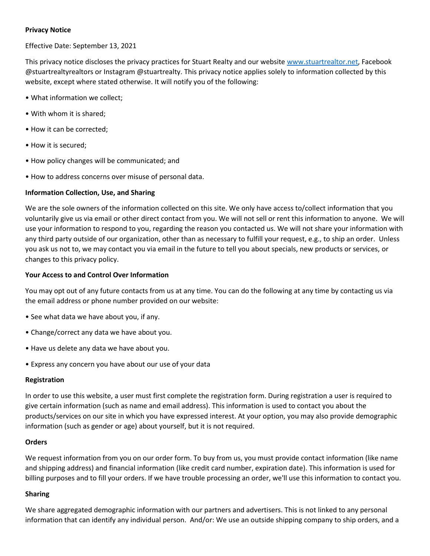# **Privacy Notice**

Effective Date: September 13, 2021

This privacy notice discloses the privacy practices for Stuart Realty and our websit[e www.stuartrealtor.net,](http://www.stuartrealtor.net/) Facebook @stuartrealtyrealtors or Instagram @stuartrealty. This privacy notice applies solely to information collected by this website, except where stated otherwise. It will notify you of the following:

- What information we collect;
- With whom it is shared;
- How it can be corrected;
- How it is secured;
- How policy changes will be communicated; and
- How to address concerns over misuse of personal data.

# **Information Collection, Use, and Sharing**

We are the sole owners of the information collected on this site. We only have access to/collect information that you voluntarily give us via email or other direct contact from you. We will not sell or rent this information to anyone. We will use your information to respond to you, regarding the reason you contacted us. We will not share your information with any third party outside of our organization, other than as necessary to fulfill your request, e.g., to ship an order. Unless you ask us not to, we may contact you via email in the future to tell you about specials, new products or services, or changes to this privacy policy.

### **Your Access to and Control Over Information**

You may opt out of any future contacts from us at any time. You can do the following at any time by contacting us via the email address or phone number provided on our website:

- See what data we have about you, if any.
- Change/correct any data we have about you.
- Have us delete any data we have about you.
- Express any concern you have about our use of your data

### **Registration**

In order to use this website, a user must first complete the registration form. During registration a user is required to give certain information (such as name and email address). This information is used to contact you about the products/services on our site in which you have expressed interest. At your option, you may also provide demographic information (such as gender or age) about yourself, but it is not required.

### **Orders**

We request information from you on our order form. To buy from us, you must provide contact information (like name and shipping address) and financial information (like credit card number, expiration date). This information is used for billing purposes and to fill your orders. If we have trouble processing an order, we'll use this information to contact you.

### **Sharing**

We share aggregated demographic information with our partners and advertisers. This is not linked to any personal information that can identify any individual person. And/or: We use an outside shipping company to ship orders, and a